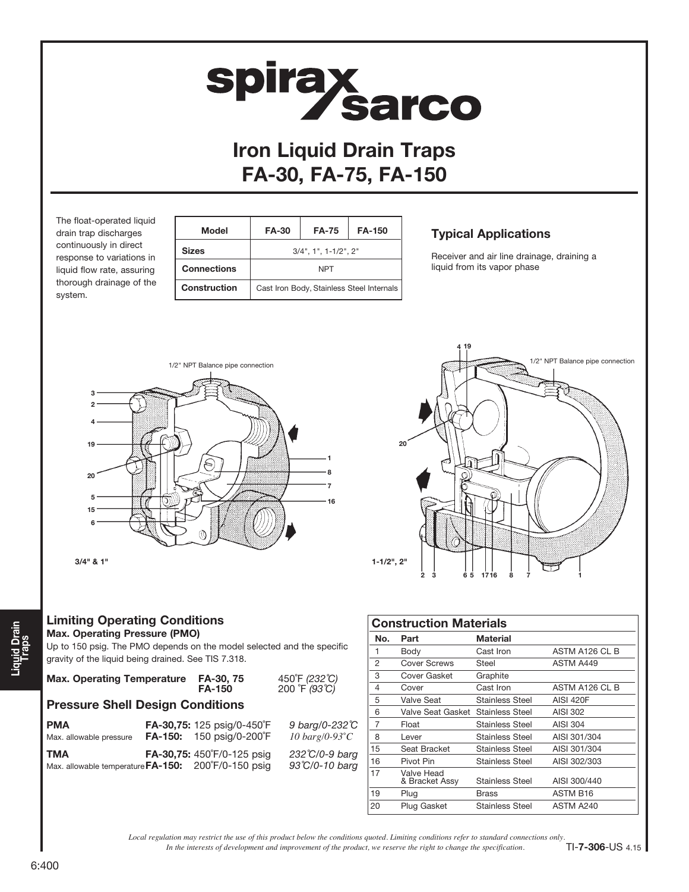#### Limiting Operating Conditions Max. Operating Pressure (PMO)

The float-operated liquid drain trap discharges continuously in direct response to variations in liquid flow rate, assuring thorough drainage of the

system.

Up to 150 psig. The PMO depends on the model selected and the specific

**PMA FA-30,75:** 125 psig/0-450°F 9 barg/0-232℃ Max. allowable pressure FA-150: 150 psig/0-200˚F *10 barg/0-93˚C* TMA **FA-30,75:** 450°F/0-125 psig 232°C/0-9 barg Max. allowable temperature FA-150: 200°F/0-150 psig 93°C/0-10 barg

gravity of the liquid being drained. See TIS 7.318.

|  |  |  | p to 150 psig. The PMO depends on the r     |  |  |
|--|--|--|---------------------------------------------|--|--|
|  |  |  | covity of the liquid boing drained. See TIS |  |  |

Max. Operating Temperature FA-30, 75<br>FA-150

Pressure Shell Design Conditions

| 3                       |     |    |                    |
|-------------------------|-----|----|--------------------|
| $\overline{\mathbf{c}}$ |     |    |                    |
|                         |     |    |                    |
| 19                      |     |    | 20                 |
| 20                      |     | 8  |                    |
| 5                       |     | 16 |                    |
| 15                      |     |    |                    |
| 6                       | ļίC |    |                    |
| $3/4"$ & $1"$           |     |    | $1 - 1/2$ ", $2$ " |
|                         |     |    |                    |

1/2" NPT Balance pipe connection

# FA-30, FA-75, FA-150

 Model FA-30 FA-75 FA-150 Sizes 3/4", 1", 1-1/2", 2" Connections NPT

Construction | Cast Iron Body, Stainless Steel Internals

| <b>Typical Applications</b> |
|-----------------------------|
|                             |

Receiver and air line drainage, draining a liquid from its vapor phase



| <b>Construction Materials</b> |                                   |                        |                  |  |  |  |
|-------------------------------|-----------------------------------|------------------------|------------------|--|--|--|
| No.                           | Part                              | Material               |                  |  |  |  |
| 1                             | Body                              | Cast Iron              | ASTM A126 CL B   |  |  |  |
| $\overline{2}$                | Cover Screws                      | Steel                  | ASTM A449        |  |  |  |
| 3                             | Cover Gasket                      | Graphite               |                  |  |  |  |
| 4                             | Cover                             | Cast Iron              | ASTM A126 CL B   |  |  |  |
| 5                             | Valve Seat                        | Stainless Steel        | <b>AISI 420F</b> |  |  |  |
| 6                             | Valve Seat Gasket Stainless Steel |                        | AISI 302         |  |  |  |
| 7                             | Float                             | Stainless Steel        | AISI 304         |  |  |  |
| 8                             | Lever                             | <b>Stainless Steel</b> | AISI 301/304     |  |  |  |
| 15                            | Seat Bracket                      | Stainless Steel        | AISI 301/304     |  |  |  |
| 16                            | Pivot Pin                         | Stainless Steel        | AISI 302/303     |  |  |  |
| 17                            | Valve Head<br>& Bracket Assy      | <b>Stainless Steel</b> | AISI 300/440     |  |  |  |
| 19                            | Plug                              | Brass                  | <b>ASTM B16</b>  |  |  |  |
| 20                            | Plug Gasket                       | <b>Stainless Steel</b> | ASTM A240        |  |  |  |

*In the interests of development and improvement of the product, we reserve the right to change the specification. Local regulation may restrict the use of this product below the conditions quoted. Limiting conditions refer to standard connections only.*

450 °F (232 °C)<br>200 °F (93 °C)

TI-7-306-US 4.15



Iron Liquid Drain Traps